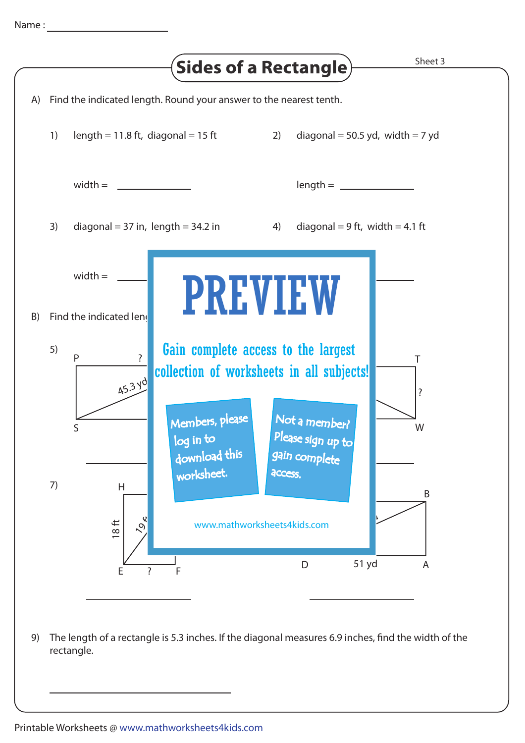